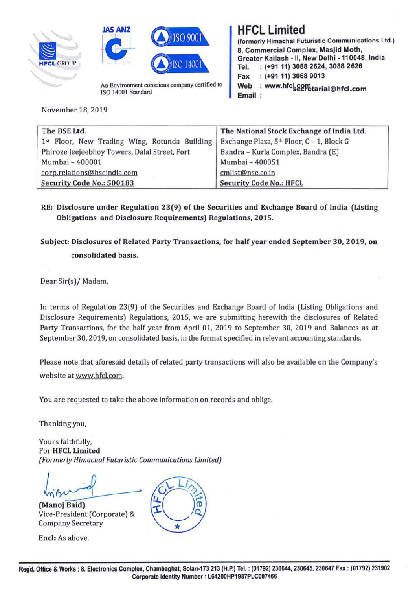





An Environment conscious company certified to ISO 14001 Standard

November 18, 2019

## **HFCL Limited**

(formerly Himachal Futuristic Communications Ltd.) 8, Commercial Complex, **Masjid Moth,**  Greater Kailash -11, New Delhi -110048, India Tel. : **(+9111) 3088 2624, 3088 2626 Fax** : **(+91 11) 3068 9013 Web** : **www.hfc~ti2ffitarial@hfcl.com Email** 

| The BSE Ltd.                                  | The National Stock Exchange of India Ltd. |  |
|-----------------------------------------------|-------------------------------------------|--|
| 1st Floor, New Trading Wing, Rotunda Building | Exchange Plaza, 5th Floor, C - 1, Block G |  |
| Phiroze Jeejeebhoy Towers, Dalal Street, Fort | Bandra - Kurla Complex, Bandra (E)        |  |
| Mumbai - 400001                               | Mumbai - 400051                           |  |
| corp.relations@bseindia.com                   | cmlist@nse.co.in                          |  |
| Security Code No.: 500183                     | <b>Security Code No.: HFCL</b>            |  |

## **RE: Disclosure under Regulation 23(9) of the Securities and Exchange Board of India (Listing Obligations and Disclosure Requirements) Regulations, 2015.**

**Subject: Disclosures of Related Party Transactions, for half year ended September 30, 2019, on consolidated basis.** 

Dear Sir(s)/ Madam,

In terms of Regulation 23(9) of the Securities and Exchange Board of India (Listing Obligations and Disclosure Requirements) Regulations, 2015, we are submitting herewith the disclosures of Related Party Transactions, for the half year from April 01, 2019 to September 30, 2019 and Balances as at September 30, 2019, on consolidated basis, in the format specified in relevant accounting standards.

Please note that aforesaid details of related party transactions will also be available on the Company's website at www.hfcl.com.

You are requested to take the above information on records and oblige.

Thanking you,

Yours faithfully, For **HFCL Limited**  *(Formerly Himachal Futuristic Communications limited)* 

Vice-President (Corporate) & **Q.**  Company Secretary \*

**Encl:** As above.